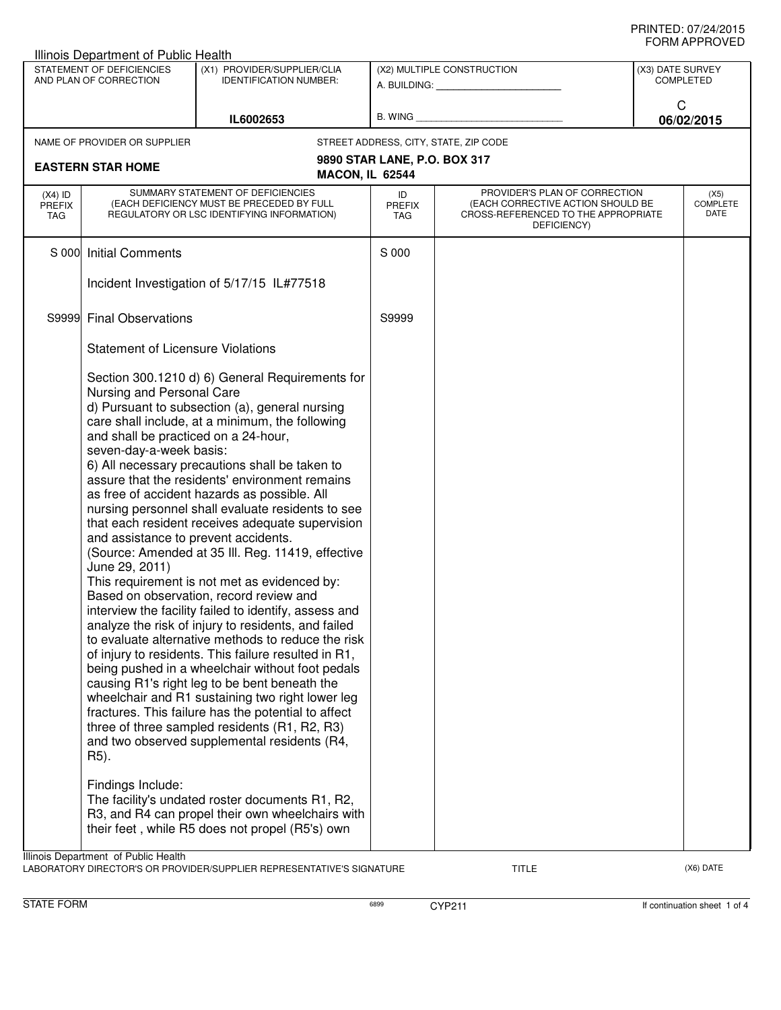| Illinois Department of Public Health                |                                                                                                                                                                                     |                                                                                                                                                                                                                                                                                                                                                                                                                                                                                                                                                                                                                                                                                                                                                                                                                                                                                                                                                                                                                                                                                                                  |                                   |                                                                                                                          |                                      |                                 |  |
|-----------------------------------------------------|-------------------------------------------------------------------------------------------------------------------------------------------------------------------------------------|------------------------------------------------------------------------------------------------------------------------------------------------------------------------------------------------------------------------------------------------------------------------------------------------------------------------------------------------------------------------------------------------------------------------------------------------------------------------------------------------------------------------------------------------------------------------------------------------------------------------------------------------------------------------------------------------------------------------------------------------------------------------------------------------------------------------------------------------------------------------------------------------------------------------------------------------------------------------------------------------------------------------------------------------------------------------------------------------------------------|-----------------------------------|--------------------------------------------------------------------------------------------------------------------------|--------------------------------------|---------------------------------|--|
| STATEMENT OF DEFICIENCIES<br>AND PLAN OF CORRECTION |                                                                                                                                                                                     | (X1) PROVIDER/SUPPLIER/CLIA<br><b>IDENTIFICATION NUMBER:</b>                                                                                                                                                                                                                                                                                                                                                                                                                                                                                                                                                                                                                                                                                                                                                                                                                                                                                                                                                                                                                                                     | (X2) MULTIPLE CONSTRUCTION        |                                                                                                                          | (X3) DATE SURVEY<br><b>COMPLETED</b> |                                 |  |
|                                                     |                                                                                                                                                                                     | IL6002653                                                                                                                                                                                                                                                                                                                                                                                                                                                                                                                                                                                                                                                                                                                                                                                                                                                                                                                                                                                                                                                                                                        | B. WING $\_$                      |                                                                                                                          | C                                    | 06/02/2015                      |  |
|                                                     | NAME OF PROVIDER OR SUPPLIER                                                                                                                                                        |                                                                                                                                                                                                                                                                                                                                                                                                                                                                                                                                                                                                                                                                                                                                                                                                                                                                                                                                                                                                                                                                                                                  |                                   | STREET ADDRESS, CITY, STATE, ZIP CODE                                                                                    |                                      |                                 |  |
|                                                     | <b>EASTERN STAR HOME</b>                                                                                                                                                            | <b>MACON, IL 62544</b>                                                                                                                                                                                                                                                                                                                                                                                                                                                                                                                                                                                                                                                                                                                                                                                                                                                                                                                                                                                                                                                                                           | 9890 STAR LANE, P.O. BOX 317      |                                                                                                                          |                                      |                                 |  |
| $(X4)$ ID<br><b>PREFIX</b><br>TAG                   |                                                                                                                                                                                     | SUMMARY STATEMENT OF DEFICIENCIES<br>(EACH DEFICIENCY MUST BE PRECEDED BY FULL<br>REGULATORY OR LSC IDENTIFYING INFORMATION)                                                                                                                                                                                                                                                                                                                                                                                                                                                                                                                                                                                                                                                                                                                                                                                                                                                                                                                                                                                     | ID<br><b>PREFIX</b><br><b>TAG</b> | PROVIDER'S PLAN OF CORRECTION<br>(EACH CORRECTIVE ACTION SHOULD BE<br>CROSS-REFERENCED TO THE APPROPRIATE<br>DEFICIENCY) |                                      | (X5)<br><b>COMPLETE</b><br>DATE |  |
| S 000                                               | <b>Initial Comments</b>                                                                                                                                                             |                                                                                                                                                                                                                                                                                                                                                                                                                                                                                                                                                                                                                                                                                                                                                                                                                                                                                                                                                                                                                                                                                                                  | S 000                             |                                                                                                                          |                                      |                                 |  |
|                                                     |                                                                                                                                                                                     | Incident Investigation of 5/17/15 IL#77518                                                                                                                                                                                                                                                                                                                                                                                                                                                                                                                                                                                                                                                                                                                                                                                                                                                                                                                                                                                                                                                                       |                                   |                                                                                                                          |                                      |                                 |  |
|                                                     | S9999 Final Observations                                                                                                                                                            |                                                                                                                                                                                                                                                                                                                                                                                                                                                                                                                                                                                                                                                                                                                                                                                                                                                                                                                                                                                                                                                                                                                  | S9999                             |                                                                                                                          |                                      |                                 |  |
|                                                     | <b>Statement of Licensure Violations</b>                                                                                                                                            |                                                                                                                                                                                                                                                                                                                                                                                                                                                                                                                                                                                                                                                                                                                                                                                                                                                                                                                                                                                                                                                                                                                  |                                   |                                                                                                                          |                                      |                                 |  |
|                                                     | Nursing and Personal Care<br>and shall be practiced on a 24-hour,<br>seven-day-a-week basis:<br>and assistance to prevent accidents.<br>June 29, 2011)<br>R5).<br>Findings Include: | Section 300.1210 d) 6) General Requirements for<br>d) Pursuant to subsection (a), general nursing<br>care shall include, at a minimum, the following<br>6) All necessary precautions shall be taken to<br>assure that the residents' environment remains<br>as free of accident hazards as possible. All<br>nursing personnel shall evaluate residents to see<br>that each resident receives adequate supervision<br>(Source: Amended at 35 III. Reg. 11419, effective<br>This requirement is not met as evidenced by:<br>Based on observation, record review and<br>interview the facility failed to identify, assess and<br>analyze the risk of injury to residents, and failed<br>to evaluate alternative methods to reduce the risk<br>of injury to residents. This failure resulted in R1,<br>being pushed in a wheelchair without foot pedals<br>causing R1's right leg to be bent beneath the<br>wheelchair and R1 sustaining two right lower leg<br>fractures. This failure has the potential to affect<br>three of three sampled residents (R1, R2, R3)<br>and two observed supplemental residents (R4, |                                   |                                                                                                                          |                                      |                                 |  |
|                                                     |                                                                                                                                                                                     | The facility's undated roster documents R1, R2,<br>R3, and R4 can propel their own wheelchairs with<br>their feet, while R5 does not propel (R5's) own                                                                                                                                                                                                                                                                                                                                                                                                                                                                                                                                                                                                                                                                                                                                                                                                                                                                                                                                                           |                                   |                                                                                                                          |                                      |                                 |  |
|                                                     | Illinois Department of Public Health                                                                                                                                                | A PODATORY DIRECTOR'S OR RROUGHER (SHIRRI JER REBRESENTATIVE'S SIGNATUR                                                                                                                                                                                                                                                                                                                                                                                                                                                                                                                                                                                                                                                                                                                                                                                                                                                                                                                                                                                                                                          |                                   | ו ודוד                                                                                                                   |                                      | $(YG)$ $\Gamma$ ATE             |  |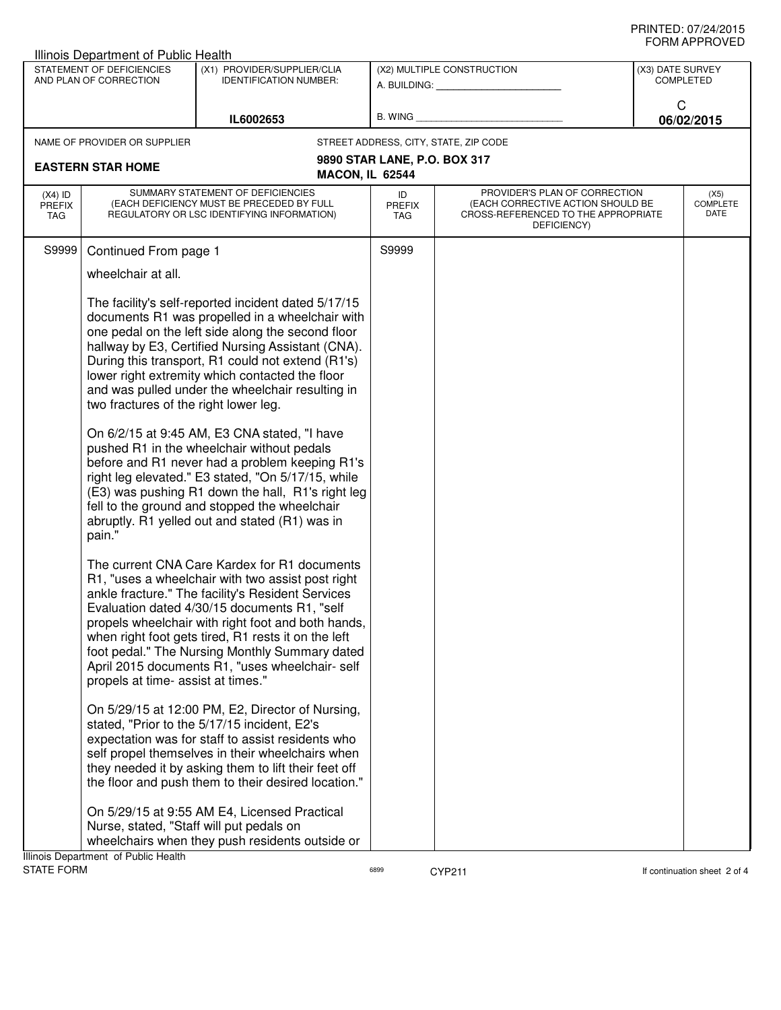## PRINTED: 07/24/2015 FORM APPROVED

|                                          | Illinois Department of Public Health                |                                                                                                                                                                                                                                                                                                                                                                                                                                                                                                                                                                                                                                                                                                                                            |                            |                                                                                                                          |                  |                                 |
|------------------------------------------|-----------------------------------------------------|--------------------------------------------------------------------------------------------------------------------------------------------------------------------------------------------------------------------------------------------------------------------------------------------------------------------------------------------------------------------------------------------------------------------------------------------------------------------------------------------------------------------------------------------------------------------------------------------------------------------------------------------------------------------------------------------------------------------------------------------|----------------------------|--------------------------------------------------------------------------------------------------------------------------|------------------|---------------------------------|
|                                          | STATEMENT OF DEFICIENCIES<br>AND PLAN OF CORRECTION | (X1) PROVIDER/SUPPLIER/CLIA<br><b>IDENTIFICATION NUMBER:</b>                                                                                                                                                                                                                                                                                                                                                                                                                                                                                                                                                                                                                                                                               |                            | (X2) MULTIPLE CONSTRUCTION                                                                                               | (X3) DATE SURVEY | <b>COMPLETED</b>                |
|                                          |                                                     |                                                                                                                                                                                                                                                                                                                                                                                                                                                                                                                                                                                                                                                                                                                                            |                            | A. BUILDING: A. BUILDING:                                                                                                |                  |                                 |
|                                          |                                                     | IL6002653                                                                                                                                                                                                                                                                                                                                                                                                                                                                                                                                                                                                                                                                                                                                  | B. WING                    |                                                                                                                          |                  | C<br>06/02/2015                 |
|                                          | NAME OF PROVIDER OR SUPPLIER                        |                                                                                                                                                                                                                                                                                                                                                                                                                                                                                                                                                                                                                                                                                                                                            |                            | STREET ADDRESS, CITY, STATE, ZIP CODE                                                                                    |                  |                                 |
|                                          |                                                     |                                                                                                                                                                                                                                                                                                                                                                                                                                                                                                                                                                                                                                                                                                                                            |                            | 9890 STAR LANE, P.O. BOX 317                                                                                             |                  |                                 |
|                                          | <b>EASTERN STAR HOME</b>                            | <b>MACON, IL 62544</b>                                                                                                                                                                                                                                                                                                                                                                                                                                                                                                                                                                                                                                                                                                                     |                            |                                                                                                                          |                  |                                 |
| $(X4)$ ID<br><b>PREFIX</b><br><b>TAG</b> |                                                     | SUMMARY STATEMENT OF DEFICIENCIES<br>(EACH DEFICIENCY MUST BE PRECEDED BY FULL<br>REGULATORY OR LSC IDENTIFYING INFORMATION)                                                                                                                                                                                                                                                                                                                                                                                                                                                                                                                                                                                                               | ID<br><b>PREFIX</b><br>TAG | PROVIDER'S PLAN OF CORRECTION<br>(EACH CORRECTIVE ACTION SHOULD BE<br>CROSS-REFERENCED TO THE APPROPRIATE<br>DEFICIENCY) |                  | (X5)<br><b>COMPLETE</b><br>DATE |
| S9999                                    | Continued From page 1                               |                                                                                                                                                                                                                                                                                                                                                                                                                                                                                                                                                                                                                                                                                                                                            | S9999                      |                                                                                                                          |                  |                                 |
|                                          | wheelchair at all.                                  |                                                                                                                                                                                                                                                                                                                                                                                                                                                                                                                                                                                                                                                                                                                                            |                            |                                                                                                                          |                  |                                 |
|                                          | two fractures of the right lower leg.<br>pain."     | The facility's self-reported incident dated 5/17/15<br>documents R1 was propelled in a wheelchair with<br>one pedal on the left side along the second floor<br>hallway by E3, Certified Nursing Assistant (CNA).<br>During this transport, R1 could not extend (R1's)<br>lower right extremity which contacted the floor<br>and was pulled under the wheelchair resulting in<br>On 6/2/15 at 9:45 AM, E3 CNA stated, "I have<br>pushed R1 in the wheelchair without pedals<br>before and R1 never had a problem keeping R1's<br>right leg elevated." E3 stated, "On 5/17/15, while<br>(E3) was pushing R1 down the hall, R1's right leg<br>fell to the ground and stopped the wheelchair<br>abruptly. R1 yelled out and stated (R1) was in |                            |                                                                                                                          |                  |                                 |
|                                          | propels at time- assist at times."                  | The current CNA Care Kardex for R1 documents<br>R1, "uses a wheelchair with two assist post right<br>ankle fracture." The facility's Resident Services<br>Evaluation dated 4/30/15 documents R1, "self<br>propels wheelchair with right foot and both hands,<br>when right foot gets tired, R1 rests it on the left<br>foot pedal." The Nursing Monthly Summary dated<br>April 2015 documents R1, "uses wheelchair- self<br>On 5/29/15 at 12:00 PM, E2, Director of Nursing,<br>stated, "Prior to the 5/17/15 incident, E2's                                                                                                                                                                                                               |                            |                                                                                                                          |                  |                                 |
|                                          |                                                     | expectation was for staff to assist residents who<br>self propel themselves in their wheelchairs when<br>they needed it by asking them to lift their feet off<br>the floor and push them to their desired location."                                                                                                                                                                                                                                                                                                                                                                                                                                                                                                                       |                            |                                                                                                                          |                  |                                 |
|                                          |                                                     | On 5/29/15 at 9:55 AM E4, Licensed Practical<br>Nurse, stated, "Staff will put pedals on                                                                                                                                                                                                                                                                                                                                                                                                                                                                                                                                                                                                                                                   |                            |                                                                                                                          |                  |                                 |
|                                          |                                                     | wheelchairs when they push residents outside or                                                                                                                                                                                                                                                                                                                                                                                                                                                                                                                                                                                                                                                                                            |                            |                                                                                                                          |                  |                                 |
| <b>STATE FORM</b>                        | Illinois Department of Public Health                |                                                                                                                                                                                                                                                                                                                                                                                                                                                                                                                                                                                                                                                                                                                                            | 6899                       | <b>CYP211</b>                                                                                                            |                  | If continuation sheet 2 of 4    |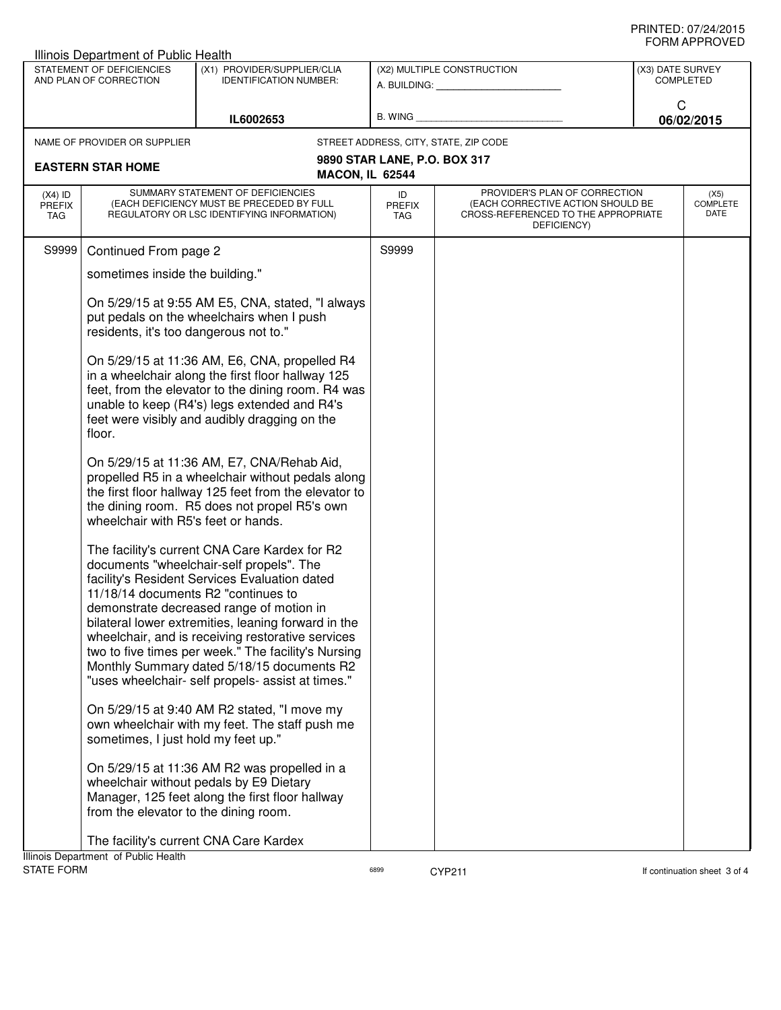|                                                     | Illinois Department of Public Health                                                                                                    |                                                                                                                                                                                                                                                                                                                                                                                                                                                              |                              |                                                                                                                          |                                      |  |
|-----------------------------------------------------|-----------------------------------------------------------------------------------------------------------------------------------------|--------------------------------------------------------------------------------------------------------------------------------------------------------------------------------------------------------------------------------------------------------------------------------------------------------------------------------------------------------------------------------------------------------------------------------------------------------------|------------------------------|--------------------------------------------------------------------------------------------------------------------------|--------------------------------------|--|
| STATEMENT OF DEFICIENCIES<br>AND PLAN OF CORRECTION |                                                                                                                                         | (X1) PROVIDER/SUPPLIER/CLIA<br><b>IDENTIFICATION NUMBER:</b>                                                                                                                                                                                                                                                                                                                                                                                                 | (X2) MULTIPLE CONSTRUCTION   |                                                                                                                          | (X3) DATE SURVEY<br><b>COMPLETED</b> |  |
|                                                     |                                                                                                                                         | IL6002653                                                                                                                                                                                                                                                                                                                                                                                                                                                    | B. WING                      |                                                                                                                          | C<br>06/02/2015                      |  |
|                                                     | NAME OF PROVIDER OR SUPPLIER                                                                                                            |                                                                                                                                                                                                                                                                                                                                                                                                                                                              |                              | STREET ADDRESS, CITY, STATE, ZIP CODE                                                                                    |                                      |  |
|                                                     |                                                                                                                                         |                                                                                                                                                                                                                                                                                                                                                                                                                                                              | 9890 STAR LANE, P.O. BOX 317 |                                                                                                                          |                                      |  |
|                                                     | <b>EASTERN STAR HOME</b>                                                                                                                |                                                                                                                                                                                                                                                                                                                                                                                                                                                              | <b>MACON, IL 62544</b>       |                                                                                                                          |                                      |  |
| $(X4)$ ID<br><b>PREFIX</b><br><b>TAG</b>            |                                                                                                                                         | SUMMARY STATEMENT OF DEFICIENCIES<br>(EACH DEFICIENCY MUST BE PRECEDED BY FULL<br>REGULATORY OR LSC IDENTIFYING INFORMATION)                                                                                                                                                                                                                                                                                                                                 | ID<br><b>PREFIX</b><br>TAG   | PROVIDER'S PLAN OF CORRECTION<br>(EACH CORRECTIVE ACTION SHOULD BE<br>CROSS-REFERENCED TO THE APPROPRIATE<br>DEFICIENCY) | (X5)<br><b>COMPLETE</b><br>DATE      |  |
| S9999                                               | Continued From page 2                                                                                                                   |                                                                                                                                                                                                                                                                                                                                                                                                                                                              | S9999                        |                                                                                                                          |                                      |  |
|                                                     | sometimes inside the building."                                                                                                         |                                                                                                                                                                                                                                                                                                                                                                                                                                                              |                              |                                                                                                                          |                                      |  |
|                                                     | On 5/29/15 at 9:55 AM E5, CNA, stated, "I always<br>put pedals on the wheelchairs when I push<br>residents, it's too dangerous not to." |                                                                                                                                                                                                                                                                                                                                                                                                                                                              |                              |                                                                                                                          |                                      |  |
|                                                     | floor.                                                                                                                                  | On 5/29/15 at 11:36 AM, E6, CNA, propelled R4<br>in a wheelchair along the first floor hallway 125<br>feet, from the elevator to the dining room. R4 was<br>unable to keep (R4's) legs extended and R4's<br>feet were visibly and audibly dragging on the                                                                                                                                                                                                    |                              |                                                                                                                          |                                      |  |
|                                                     | wheelchair with R5's feet or hands.                                                                                                     | On 5/29/15 at 11:36 AM, E7, CNA/Rehab Aid,<br>propelled R5 in a wheelchair without pedals along<br>the first floor hallway 125 feet from the elevator to<br>the dining room. R5 does not propel R5's own                                                                                                                                                                                                                                                     |                              |                                                                                                                          |                                      |  |
|                                                     | 11/18/14 documents R2 "continues to                                                                                                     | The facility's current CNA Care Kardex for R2<br>documents "wheelchair-self propels". The<br>facility's Resident Services Evaluation dated<br>demonstrate decreased range of motion in<br>bilateral lower extremities, leaning forward in the<br>wheelchair, and is receiving restorative services<br>two to five times per week." The facility's Nursing<br>Monthly Summary dated 5/18/15 documents R2<br>"uses wheelchair- self propels- assist at times." |                              |                                                                                                                          |                                      |  |
|                                                     | sometimes, I just hold my feet up."                                                                                                     | On 5/29/15 at 9:40 AM R2 stated, "I move my<br>own wheelchair with my feet. The staff push me                                                                                                                                                                                                                                                                                                                                                                |                              |                                                                                                                          |                                      |  |
|                                                     | from the elevator to the dining room.                                                                                                   | On 5/29/15 at 11:36 AM R2 was propelled in a<br>wheelchair without pedals by E9 Dietary<br>Manager, 125 feet along the first floor hallway                                                                                                                                                                                                                                                                                                                   |                              |                                                                                                                          |                                      |  |
|                                                     | Illinois Department of Public Health                                                                                                    | The facility's current CNA Care Kardex                                                                                                                                                                                                                                                                                                                                                                                                                       |                              |                                                                                                                          |                                      |  |
| STATE FORM                                          |                                                                                                                                         |                                                                                                                                                                                                                                                                                                                                                                                                                                                              | 6899                         | <b>CYP211</b>                                                                                                            | If continuation sheet 3 of 4         |  |